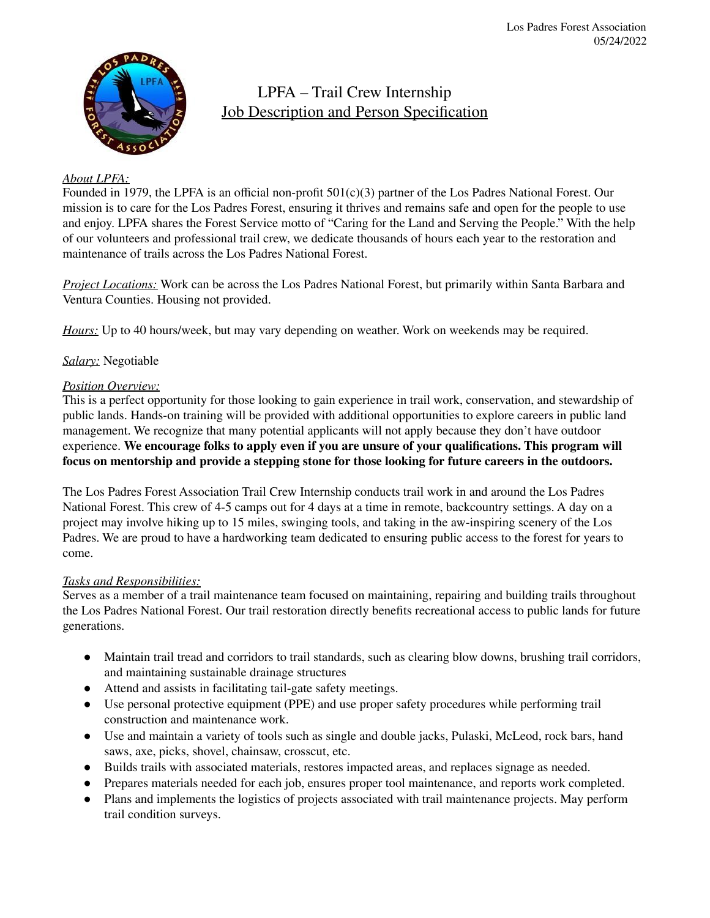

LPFA – Trail Crew Internship Job Description and Person Specification

# *About LPFA:*

Founded in 1979, the LPFA is an official non-profit 501(c)(3) partner of the Los Padres National Forest. Our mission is to care for the Los Padres Forest, ensuring it thrives and remains safe and open for the people to use and enjoy. LPFA shares the Forest Service motto of "Caring for the Land and Serving the People." With the help of our volunteers and professional trail crew, we dedicate thousands of hours each year to the restoration and maintenance of trails across the Los Padres National Forest.

*Project Locations:* Work can be across the Los Padres National Forest, but primarily within Santa Barbara and Ventura Counties. Housing not provided.

*Hours:* Up to 40 hours/week, but may vary depending on weather. Work on weekends may be required.

# *Salary:* Negotiable

## *Position Overview:*

This is a perfect opportunity for those looking to gain experience in trail work, conservation, and stewardship of public lands. Hands-on training will be provided with additional opportunities to explore careers in public land management. We recognize that many potential applicants will not apply because they don't have outdoor experience. **We encourage folks to apply even if you are unsure of your qualifications. This program will focus on mentorship and provide a stepping stone for those looking for future careers in the outdoors.**

The Los Padres Forest Association Trail Crew Internship conducts trail work in and around the Los Padres National Forest. This crew of 4-5 camps out for 4 days at a time in remote, backcountry settings. A day on a project may involve hiking up to 15 miles, swinging tools, and taking in the aw-inspiring scenery of the Los Padres. We are proud to have a hardworking team dedicated to ensuring public access to the forest for years to come.

## *Tasks and Responsibilities:*

Serves as a member of a trail maintenance team focused on maintaining, repairing and building trails throughout the Los Padres National Forest. Our trail restoration directly benefits recreational access to public lands for future generations.

- Maintain trail tread and corridors to trail standards, such as clearing blow downs, brushing trail corridors, and maintaining sustainable drainage structures
- Attend and assists in facilitating tail-gate safety meetings.
- Use personal protective equipment (PPE) and use proper safety procedures while performing trail construction and maintenance work.
- Use and maintain a variety of tools such as single and double jacks, Pulaski, McLeod, rock bars, hand saws, axe, picks, shovel, chainsaw, crosscut, etc.
- Builds trails with associated materials, restores impacted areas, and replaces signage as needed.
- Prepares materials needed for each job, ensures proper tool maintenance, and reports work completed.
- Plans and implements the logistics of projects associated with trail maintenance projects. May perform trail condition surveys.